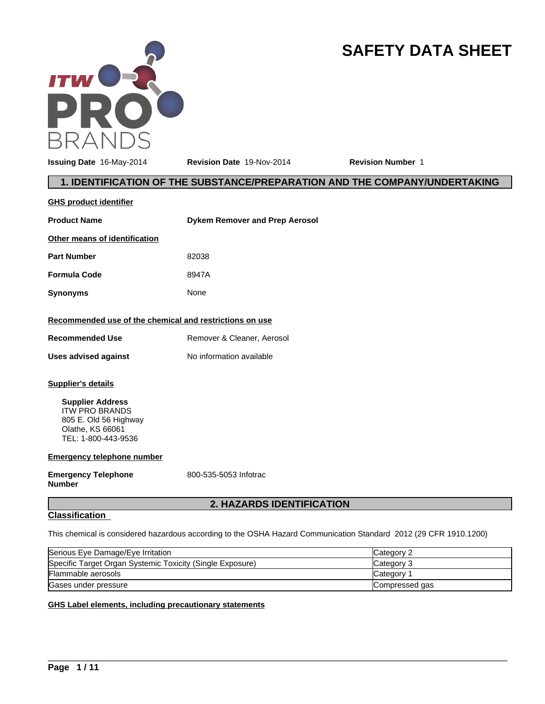

# **SAFETY DATA SHEET**

**Issuing Date** 16-May-2014 **Revision Date** 19-Nov-2014 **Revision Number** 1

# **1. IDENTIFICATION OF THE SUBSTANCE/PREPARATION AND THE COMPANY/UNDERTAKING**

| <b>GHS product identifier</b>                           |                                       |
|---------------------------------------------------------|---------------------------------------|
| <b>Product Name</b>                                     | <b>Dykem Remover and Prep Aerosol</b> |
| Other means of identification                           |                                       |
| <b>Part Number</b>                                      | 82038                                 |
| <b>Formula Code</b>                                     | 8947A                                 |
| <b>Synonyms</b>                                         | None                                  |
| Recommended use of the chemical and restrictions on use |                                       |
| <b>Recommended Use</b>                                  | Remover & Cleaner, Aerosol            |
| Uses advised against                                    | No information available              |
| Supplier's details                                      |                                       |

**Supplier Address** ITW PRO BRANDS 805 E. Old 56 Highway Olathe, KS 66061 TEL: 1-800-443-9536

**Emergency telephone number**

**Emergency Telephone Number**

800-535-5053 Infotrac

# **2. HAZARDS IDENTIFICATION**

# **Classification**

This chemical is considered hazardous according to the OSHA Hazard Communication Standard 2012 (29 CFR 1910.1200)

| Serious Eye Damage/Eye Irritation                         | Category 2     |
|-----------------------------------------------------------|----------------|
| Specific Target Organ Systemic Toxicity (Single Exposure) | Category 3     |
| Flammable aerosols                                        | Category 1     |
| Gases under pressure                                      | Compressed gas |

 $\overline{\phantom{a}}$  ,  $\overline{\phantom{a}}$  ,  $\overline{\phantom{a}}$  ,  $\overline{\phantom{a}}$  ,  $\overline{\phantom{a}}$  ,  $\overline{\phantom{a}}$  ,  $\overline{\phantom{a}}$  ,  $\overline{\phantom{a}}$  ,  $\overline{\phantom{a}}$  ,  $\overline{\phantom{a}}$  ,  $\overline{\phantom{a}}$  ,  $\overline{\phantom{a}}$  ,  $\overline{\phantom{a}}$  ,  $\overline{\phantom{a}}$  ,  $\overline{\phantom{a}}$  ,  $\overline{\phantom{a}}$ 

## **GHS Label elements, including precautionary statements**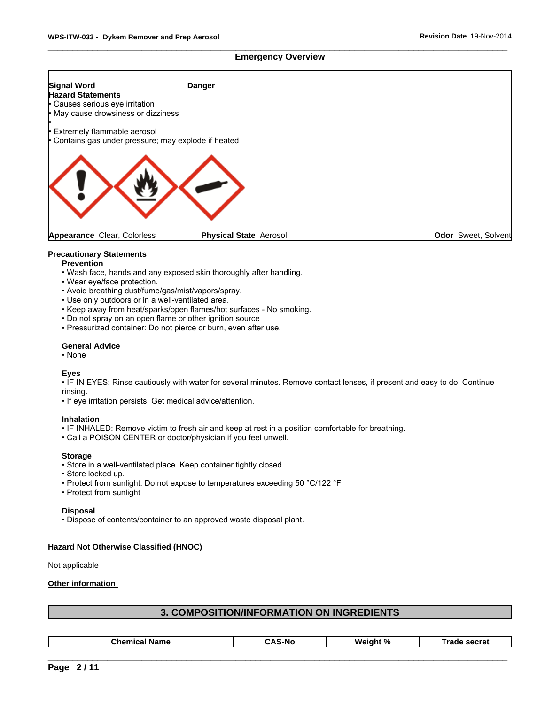#### **Emergency Overview**



#### **Precautionary Statements**

- **Prevention**
- Wash face, hands and any exposed skin thoroughly after handling.
- Wear eye/face protection.
- Avoid breathing dust/fume/gas/mist/vapors/spray.
- Use only outdoors or in a well-ventilated area.
- Keep away from heat/sparks/open flames/hot surfaces No smoking.
- Do not spray on an open flame or other ignition source
- Pressurized container: Do not pierce or burn, even after use.

#### **General Advice**

•None

#### **Eyes**

• IF IN EYES: Rinse cautiously with water for several minutes. Remove contact lenses, if present and easy to do. Continue rinsing.

• If eye irritation persists: Get medical advice/attention.

#### **Inhalation**

- IF INHALED: Remove victim to fresh air and keep at rest in a position comfortable for breathing.
- Call a POISON CENTER or doctor/physician if you feel unwell.

#### **Storage**

- Store in a well-ventilated place. Keep container tightly closed.
- Store locked up.
- Protect from sunlight. Do not expose to temperatures exceeding 50 °C/122 °F
- Protect from sunlight

#### **Disposal**

• Dispose of contents/container to an approved waste disposal plant.

## **Hazard Not Otherwise Classified (HNOC)**

Not applicable

#### **Other information**

## **3. COMPOSITION/INFORMATION ON INGREDIENTS**

| . n/<br>-----<br>м.<br>-N17<br>nρı<br> |
|----------------------------------------|
|----------------------------------------|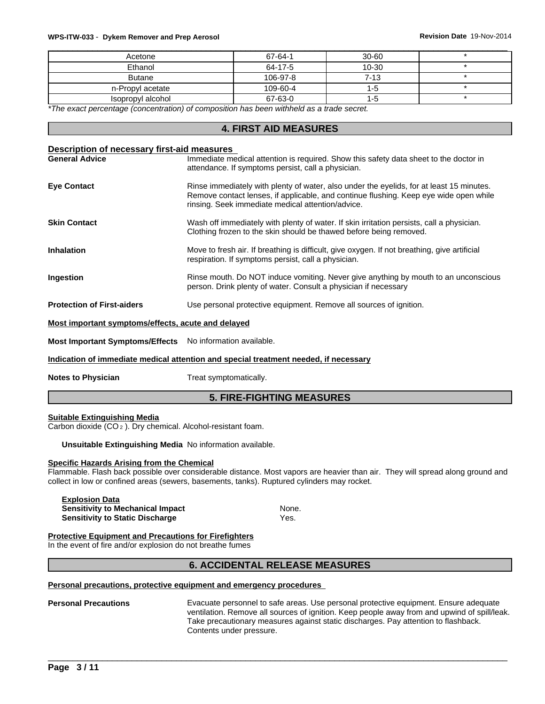#### \_\_\_\_\_\_\_\_\_\_\_\_\_\_\_\_\_\_\_\_\_\_\_\_\_\_\_\_\_\_\_\_\_\_\_\_\_\_\_\_\_\_\_\_\_\_\_\_\_\_\_\_\_\_\_\_\_\_\_\_\_\_\_\_\_\_\_\_\_\_\_\_\_\_\_\_\_\_\_\_\_\_\_\_\_\_\_\_\_\_\_\_\_ **WPS-ITW-033** - **Dykem Remover and Prep Aerosol Revision Date** 19-Nov-2014

| Acetone           | 67-64-1  | $30 - 60$ |  |
|-------------------|----------|-----------|--|
| Ethanol           | 64-17-5  | 10-30     |  |
| <b>Butane</b>     | 106-97-8 | $7 - 13$  |  |
| n-Propyl acetate  | 109-60-4 |           |  |
| Isopropyl alcohol | 67-63-0  | 1 - C     |  |

*\*The exact percentage (concentration) of composition has been withheld as a trade secret.*

## **4. FIRST AID MEASURES**

#### **Description of necessary first-aid measures**

| <b>General Advice</b>                              | Immediate medical attention is required. Show this safety data sheet to the doctor in<br>attendance. If symptoms persist, call a physician.                                                                                            |
|----------------------------------------------------|----------------------------------------------------------------------------------------------------------------------------------------------------------------------------------------------------------------------------------------|
| <b>Eye Contact</b>                                 | Rinse immediately with plenty of water, also under the eyelids, for at least 15 minutes.<br>Remove contact lenses, if applicable, and continue flushing. Keep eye wide open while<br>rinsing. Seek immediate medical attention/advice. |
| <b>Skin Contact</b>                                | Wash off immediately with plenty of water. If skin irritation persists, call a physician.<br>Clothing frozen to the skin should be thawed before being removed.                                                                        |
| <b>Inhalation</b>                                  | Move to fresh air. If breathing is difficult, give oxygen. If not breathing, give artificial<br>respiration. If symptoms persist, call a physician.                                                                                    |
| <b>Ingestion</b>                                   | Rinse mouth. Do NOT induce vomiting. Never give anything by mouth to an unconscious<br>person. Drink plenty of water. Consult a physician if necessary                                                                                 |
| <b>Protection of First-aiders</b>                  | Use personal protective equipment. Remove all sources of ignition.                                                                                                                                                                     |
| Most important symptoms/effects, acute and delayed |                                                                                                                                                                                                                                        |

**Most Important Symptoms/Effects** No information available.

#### **Indication of immediate medical attention and special treatment needed, if necessary**

**Notes to Physician** Treat symptomatically.

## **5. FIRE-FIGHTING MEASURES**

#### **Suitable Extinguishing Media**

Carbon dioxide (CO 2 ). Dry chemical. Alcohol-resistant foam.

#### **Unsuitable Extinguishing Media** No information available.

#### **Specific Hazards Arising from the Chemical**

Flammable. Flash back possible over considerable distance. Most vapors are heavier than air. They will spread along ground and collect in low or confined areas (sewers, basements, tanks). Ruptured cylinders may rocket.

**Explosion Data Sensitivity to Mechanical Impact None.** None. **Sensitivity to Static Discharge Wes.** Yes.

## **Protective Equipment and Precautions for Firefighters**

In the event of fire and/or explosion do not breathe fumes

# **6. ACCIDENTAL RELEASE MEASURES**

#### **Personal precautions, protective equipment and emergency procedures**

#### **Personal Precautions** Evacuate personnel to safe areas. Use personal protective equipment. Ensure adequate ventilation. Remove all sources of ignition. Keep people away from and upwind of spill/leak. Take precautionary measures against static discharges. Pay attention to flashback. Contents under pressure.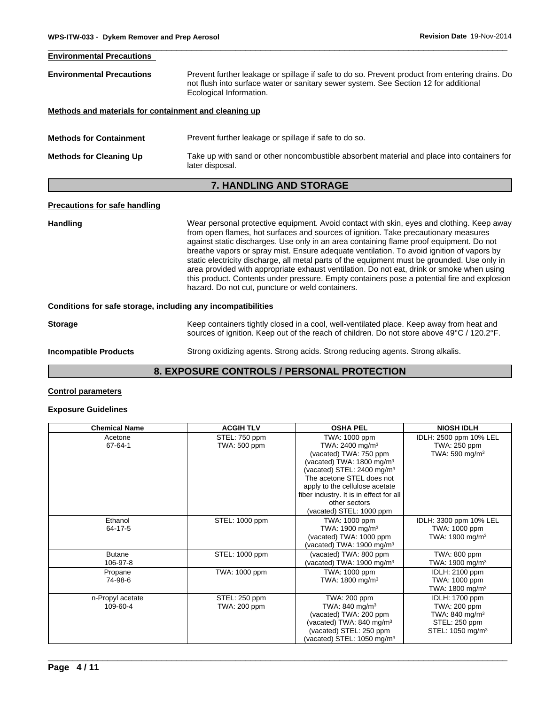| <b>Environmental Precautions</b>                      |                                                                                                                                                                                                                   |
|-------------------------------------------------------|-------------------------------------------------------------------------------------------------------------------------------------------------------------------------------------------------------------------|
| <b>Environmental Precautions</b>                      | Prevent further leakage or spillage if safe to do so. Prevent product from entering drains. Do<br>not flush into surface water or sanitary sewer system. See Section 12 for additional<br>Ecological Information. |
| Methods and materials for containment and cleaning up |                                                                                                                                                                                                                   |
| <b>Methods for Containment</b>                        | Prevent further leakage or spillage if safe to do so.                                                                                                                                                             |
| <b>Methods for Cleaning Up</b>                        | Take up with sand or other noncombustible absorbent material and place into containers for<br>later disposal.                                                                                                     |
|                                                       | <b>7. HANDLING AND STORAGE</b>                                                                                                                                                                                    |

# **Handling** Wear personal protective equipment. Avoid contact with skin, eyes and clothing. Keep away from open flames, hot surfaces and sources of ignition. Take precautionary measures against static discharges. Use only in an area containing flame proof equipment. Do not breathe vapors or spray mist. Ensure adequate ventilation. To avoid ignition of vapors by static electricity discharge, all metal parts of the equipment must be grounded. Use only in area provided with appropriate exhaust ventilation. Do not eat, drink or smoke when using this product. Contents under pressure. Empty containers pose a potential fire and explosion hazard. Do not cut, puncture or weld containers. **Conditions for safe storage, including any incompatibilities Storage** Keep containers tightly closed in a cool, well-ventilated place. Keep away from heat and sources of ignition. Keep out of the reach of children. Do not store above 49°C / 120.2°F.

**Incompatible Products** Strong oxidizing agents. Strong acids. Strong reducing agents. Strong alkalis.

# **8. EXPOSURE CONTROLS / PERSONAL PROTECTION**

# **Control parameters**

# **Exposure Guidelines**

| <b>Chemical Name</b>         | <b>ACGIH TLV</b>              | <b>OSHA PEL</b>                                                                                                                                                                                                                                                                                                  | <b>NIOSH IDLH</b>                                                                                           |
|------------------------------|-------------------------------|------------------------------------------------------------------------------------------------------------------------------------------------------------------------------------------------------------------------------------------------------------------------------------------------------------------|-------------------------------------------------------------------------------------------------------------|
| Acetone<br>67-64-1           | STEL: 750 ppm<br>TWA: 500 ppm | TWA: 1000 ppm<br>TWA: 2400 mg/m <sup>3</sup><br>(vacated) TWA: 750 ppm<br>(vacated) TWA: 1800 mg/m <sup>3</sup><br>(vacated) STEL: 2400 mg/m <sup>3</sup><br>The acetone STEL does not<br>apply to the cellulose acetate<br>fiber industry. It is in effect for all<br>other sectors<br>(vacated) STEL: 1000 ppm | IDLH: 2500 ppm 10% LEL<br>TWA: 250 ppm<br>TWA: 590 mg/m $3$                                                 |
| Ethanol<br>64-17-5           | STEL: 1000 ppm                | TWA: 1000 ppm<br>TWA: 1900 mg/m <sup>3</sup><br>(vacated) TWA: 1000 ppm<br>(vacated) TWA: 1900 mg/m <sup>3</sup>                                                                                                                                                                                                 | IDLH: 3300 ppm 10% LEL<br>TWA: 1000 ppm<br>TWA: 1900 mg/m <sup>3</sup>                                      |
| <b>Butane</b><br>106-97-8    | STEL: 1000 ppm                | (vacated) TWA: 800 ppm<br>(vacated) TWA: $1900 \text{ mg/m}^3$                                                                                                                                                                                                                                                   | TWA: 800 ppm<br>TWA: 1900 mg/m $3$                                                                          |
| Propane<br>74-98-6           | TWA: 1000 ppm                 | TWA: 1000 ppm<br>TWA: 1800 mg/m <sup>3</sup>                                                                                                                                                                                                                                                                     | <b>IDLH: 2100 ppm</b><br>TWA: 1000 ppm<br>TWA: 1800 mg/m <sup>3</sup>                                       |
| n-Propyl acetate<br>109-60-4 | STEL: 250 ppm<br>TWA: 200 ppm | TWA: 200 ppm<br>TWA: 840 mg/m <sup>3</sup><br>(vacated) TWA: 200 ppm<br>(vacated) TWA: 840 mg/m <sup>3</sup><br>(vacated) STEL: 250 ppm<br>(vacated) STEL: $1050$ mg/m <sup>3</sup>                                                                                                                              | <b>IDLH: 1700 ppm</b><br>TWA: 200 ppm<br>TWA: 840 mg/m $3$<br>STEL: 250 ppm<br>STEL: 1050 mg/m <sup>3</sup> |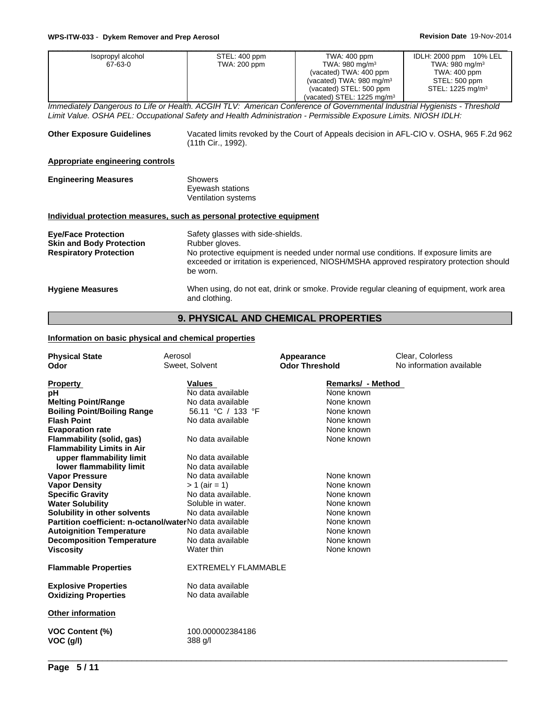| Isopropyl alcohol | STEL: 400 ppm | TWA: 400 ppm                          | IDLH: 2000 ppm 10% LEL       |
|-------------------|---------------|---------------------------------------|------------------------------|
| 67-63-0           | TWA: 200 ppm  | TWA: 980 mg/m $3$                     | TWA: 980 mg/m $3$            |
|                   |               | (vacated) TWA: 400 ppm                | TWA: 400 ppm                 |
|                   |               | (vacated) TWA: $980 \text{ mg/m}^3$   | STEL: 500 ppm                |
|                   |               | (vacated) STEL: 500 ppm               | STEL: 1225 mg/m <sup>3</sup> |
|                   |               | (vacated) STEL: $1225 \text{ ma/m}^3$ |                              |

*Immediately Dangerous to Life or Health. ACGIH TLV: American Conference of Governmental Industrial Hygienists - Threshold Limit Value. OSHA PEL: Occupational Safety and Health Administration - Permissible Exposure Limits. NIOSH IDLH:*

| <b>Other Exposure Guidelines</b>                                                               | Vacated limits revoked by the Court of Appeals decision in AFL-CIO v. OSHA, 965 F.2d 962<br>(11th Cir., 1992).                                                                                                                                       |
|------------------------------------------------------------------------------------------------|------------------------------------------------------------------------------------------------------------------------------------------------------------------------------------------------------------------------------------------------------|
| Appropriate engineering controls                                                               |                                                                                                                                                                                                                                                      |
| <b>Engineering Measures</b>                                                                    | Showers<br>Eyewash stations<br>Ventilation systems                                                                                                                                                                                                   |
|                                                                                                | Individual protection measures, such as personal protective equipment                                                                                                                                                                                |
| <b>Eye/Face Protection</b><br><b>Skin and Body Protection</b><br><b>Respiratory Protection</b> | Safety glasses with side-shields.<br>Rubber gloves.<br>No protective equipment is needed under normal use conditions. If exposure limits are<br>exceeded or irritation is experienced, NIOSH/MSHA approved respiratory protection should<br>be worn. |
| <b>Hygiene Measures</b>                                                                        | When using, do not eat, drink or smoke. Provide regular cleaning of equipment, work area<br>and clothing.                                                                                                                                            |

# **9. PHYSICAL AND CHEMICAL PROPERTIES**

## **Information on basic physical and chemical properties**

| <b>Physical State</b><br>Odor                                                                                                                                                                                                                                                                                                                                                                                                                                                                                                                        | Aerosol<br>Sweet, Solvent                                                                                                                                                                                                                                                                                   | Appearance<br><b>Odor Threshold</b>                                                                                                                                                                                   | Clear, Colorless<br>No information available |
|------------------------------------------------------------------------------------------------------------------------------------------------------------------------------------------------------------------------------------------------------------------------------------------------------------------------------------------------------------------------------------------------------------------------------------------------------------------------------------------------------------------------------------------------------|-------------------------------------------------------------------------------------------------------------------------------------------------------------------------------------------------------------------------------------------------------------------------------------------------------------|-----------------------------------------------------------------------------------------------------------------------------------------------------------------------------------------------------------------------|----------------------------------------------|
| <b>Property</b><br>рH<br><b>Melting Point/Range</b><br><b>Boiling Point/Boiling Range</b><br><b>Flash Point</b><br><b>Evaporation rate</b><br><b>Flammability (solid, gas)</b><br><b>Flammability Limits in Air</b><br>upper flammability limit<br>lower flammability limit<br><b>Vapor Pressure</b><br><b>Vapor Density</b><br><b>Specific Gravity</b><br><b>Water Solubility</b><br>Solubility in other solvents<br>Partition coefficient: n-octanol/waterNo data available<br><b>Autoignition Temperature</b><br><b>Decomposition Temperature</b> | Values<br>No data available<br>No data available<br>56.11 °C / 133 °F<br>No data available<br>No data available<br>No data available<br>No data available<br>No data available<br>$> 1$ (air = 1)<br>No data available.<br>Soluble in water.<br>No data available<br>No data available<br>No data available | Remarks/ - Method<br>None known<br>None known<br>None known<br>None known<br>None known<br>None known<br>None known<br>None known<br>None known<br>None known<br>None known<br>None known<br>None known<br>None known |                                              |
| <b>Viscosity</b>                                                                                                                                                                                                                                                                                                                                                                                                                                                                                                                                     | Water thin                                                                                                                                                                                                                                                                                                  | None known                                                                                                                                                                                                            |                                              |
| <b>Flammable Properties</b>                                                                                                                                                                                                                                                                                                                                                                                                                                                                                                                          | <b>EXTREMELY FLAMMABLE</b>                                                                                                                                                                                                                                                                                  |                                                                                                                                                                                                                       |                                              |
| <b>Explosive Properties</b><br><b>Oxidizing Properties</b>                                                                                                                                                                                                                                                                                                                                                                                                                                                                                           | No data available<br>No data available                                                                                                                                                                                                                                                                      |                                                                                                                                                                                                                       |                                              |
| <b>Other information</b>                                                                                                                                                                                                                                                                                                                                                                                                                                                                                                                             |                                                                                                                                                                                                                                                                                                             |                                                                                                                                                                                                                       |                                              |
| <b>VOC Content (%)</b><br>VOC (g/l)                                                                                                                                                                                                                                                                                                                                                                                                                                                                                                                  | 100.000002384186<br>388 g/l                                                                                                                                                                                                                                                                                 |                                                                                                                                                                                                                       |                                              |
|                                                                                                                                                                                                                                                                                                                                                                                                                                                                                                                                                      |                                                                                                                                                                                                                                                                                                             |                                                                                                                                                                                                                       |                                              |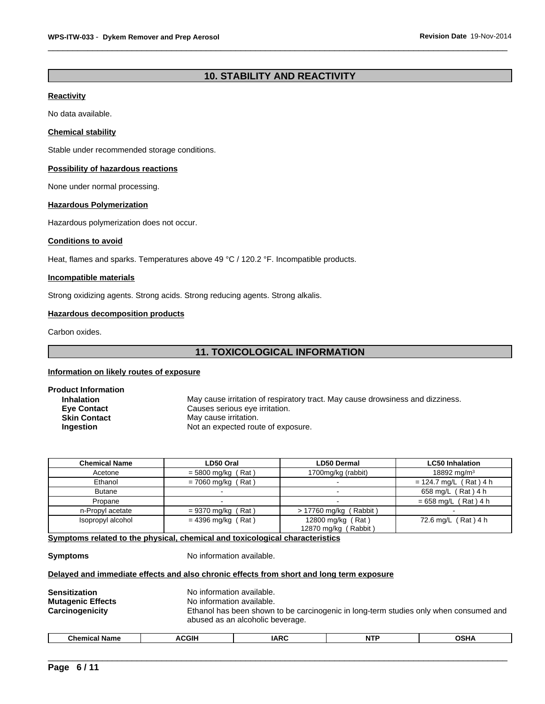# **10. STABILITY AND REACTIVITY**

#### **Reactivity**

No data available.

## **Chemical stability**

Stable under recommended storage conditions.

#### **Possibility of hazardous reactions**

None under normal processing.

## **Hazardous Polymerization**

Hazardous polymerization does not occur.

#### **Conditions to avoid**

Heat, flames and sparks. Temperatures above 49 °C / 120.2 °F. Incompatible products.

## **Incompatible materials**

Strong oxidizing agents. Strong acids. Strong reducing agents. Strong alkalis.

## **Hazardous decomposition products**

Carbon oxides.

## **11. TOXICOLOGICAL INFORMATION**

## **Information on likely routes of exposure**

| <b>Product Information</b> |                                                                                |
|----------------------------|--------------------------------------------------------------------------------|
| <b>Inhalation</b>          | May cause irritation of respiratory tract. May cause drowsiness and dizziness. |
| <b>Eye Contact</b>         | Causes serious eye irritation.                                                 |
| <b>Skin Contact</b>        | May cause irritation.                                                          |
| <b>Ingestion</b>           | Not an expected route of exposure.                                             |
|                            |                                                                                |

| <b>Chemical Name</b> | LD50 Oral            | <b>LD50 Dermal</b>                        | <b>LC50 Inhalation</b>   |
|----------------------|----------------------|-------------------------------------------|--------------------------|
| Acetone              | $=$ 5800 mg/kg (Rat) | 1700mg/kg (rabbit)                        | 18892 mg/m <sup>3</sup>  |
| Ethanol              | $= 7060$ mg/kg (Rat) |                                           | $= 124.7$ mg/L (Rat) 4 h |
| <b>Butane</b>        |                      |                                           | 658 mg/L (Rat) 4 h       |
| Propane              |                      |                                           | $= 658$ mg/L (Rat) 4 h   |
| n-Propyl acetate     | $= 9370$ mg/kg (Rat) | $> 17760$ mg/kg (Rabbit)                  |                          |
| Isopropyl alcohol    | $= 4396$ mg/kg (Rat) | 12800 mg/kg (Rat)<br>12870 mg/kg (Rabbit) | 72.6 mg/L (Rat) 4 h      |

**Symptoms related to the physical, chemical and toxicological characteristics**

**Symptoms** No information available.

#### **Delayed and immediate effects and also chronic effects from short and long term exposure**

|--|

| --<br>$\sim$<br>Chemical<br>Name | <b>CGIH</b><br>^ *<br>., | $\overline{1}$<br>1 A L<br>- | $\sim$ . $\sim$ | $\sim$<br>77 |
|----------------------------------|--------------------------|------------------------------|-----------------|--------------|
|                                  |                          |                              |                 |              |
|                                  |                          |                              |                 |              |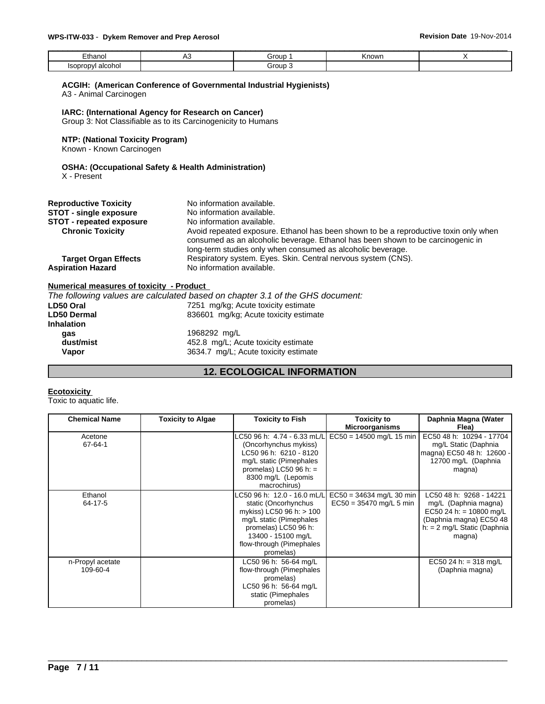| -<br>∟thanol                                 | ◡ | Group          | Known |  |
|----------------------------------------------|---|----------------|-------|--|
| alcohol<br>Isopror <sup>.</sup><br>⊶∪ט∪<br>. |   | iroup.<br>$ -$ |       |  |

## **ACGIH: (American Conference of Governmental Industrial Hygienists)**

A3 - Animal Carcinogen

**IARC: (International Agency for Research on Cancer)** Group 3: Not Classifiable as to its Carcinogenicity to Humans

#### **NTP: (National Toxicity Program)**

Known - Known Carcinogen

## **OSHA: (Occupational Safety & Health Administration)**

X - Present

| <b>Reproductive Toxicity</b>                            | No information available.                                                                                                                                                                                                              |
|---------------------------------------------------------|----------------------------------------------------------------------------------------------------------------------------------------------------------------------------------------------------------------------------------------|
| <b>STOT - single exposure</b>                           | No information available.                                                                                                                                                                                                              |
| <b>STOT</b> - repeated exposure                         | No information available.                                                                                                                                                                                                              |
| <b>Chronic Toxicity</b>                                 | Avoid repeated exposure. Ethanol has been shown to be a reproductive toxin only when<br>consumed as an alcoholic beverage. Ethanol has been shown to be carcinogenic in<br>long-term studies only when consumed as alcoholic beverage. |
| <b>Target Organ Effects</b><br><b>Aspiration Hazard</b> | Respiratory system. Eyes. Skin. Central nervous system (CNS).<br>No information available.                                                                                                                                             |

#### **Numerical measures of toxicity - Product**

|                                                  | The following values are calculated based on chapter 3.1 of the GHS document: |  |
|--------------------------------------------------|-------------------------------------------------------------------------------|--|
| LD50 Oral                                        | 7251 mg/kg; Acute toxicity estimate                                           |  |
| <b>LD50 Dermal</b>                               | 836601 mg/kg; Acute toxicity estimate                                         |  |
| <b>Inhalation</b>                                |                                                                               |  |
| 1968292 mg/L<br>qas                              |                                                                               |  |
| dust/mist<br>452.8 mg/L; Acute toxicity estimate |                                                                               |  |
| Vapor                                            | 3634.7 mg/L; Acute toxicity estimate                                          |  |
|                                                  |                                                                               |  |

# **12. ECOLOGICAL INFORMATION**

#### **Ecotoxicity**

Toxic to aquatic life.

| <b>Chemical Name</b> | <b>Toxicity to Algae</b> | <b>Toxicity to Fish</b>     | <b>Toxicity to</b>                                    | Daphnia Magna (Water          |
|----------------------|--------------------------|-----------------------------|-------------------------------------------------------|-------------------------------|
|                      |                          |                             | <b>Microorganisms</b>                                 | Flea)                         |
| Acetone              |                          | LC50 96 h: 4.74 - 6.33 mL/L | $EC50 = 14500$ mg/L 15 min                            | EC50 48 h: 10294 - 17704      |
| 67-64-1              |                          | (Oncorhynchus mykiss)       |                                                       | mg/L Static (Daphnia          |
|                      |                          | LC50 96 h: 6210 - 8120      |                                                       | magna) EC50 48 h: 12600 -     |
|                      |                          | mg/L static (Pimephales     |                                                       | 12700 mg/L (Daphnia           |
|                      |                          | promelas) LC50 96 h: $=$    |                                                       | magna)                        |
|                      |                          | 8300 mg/L (Lepomis          |                                                       |                               |
|                      |                          | macrochirus)                |                                                       |                               |
| Ethanol              |                          |                             | LC50 96 h: 12.0 - 16.0 mL/L  EC50 = 34634 mg/L 30 min | LC50 48 h: 9268 - 14221       |
| 64-17-5              |                          | static (Oncorhynchus        | $EC50 = 35470$ mg/L 5 min                             | mg/L (Daphnia magna)          |
|                      |                          | mykiss) LC50 96 h: > 100    |                                                       | EC50 24 h: = 10800 mg/L       |
|                      |                          | mg/L static (Pimephales     |                                                       | (Daphnia magna) EC50 48       |
|                      |                          | promelas) LC50 96 h:        |                                                       | $h: = 2$ mg/L Static (Daphnia |
|                      |                          | 13400 - 15100 mg/L          |                                                       | magna)                        |
|                      |                          | flow-through (Pimephales    |                                                       |                               |
|                      |                          | promelas)                   |                                                       |                               |
| n-Propyl acetate     |                          | LC50 96 h: 56-64 mg/L       |                                                       | EC50 24 h: = 318 mg/L         |
| 109-60-4             |                          | flow-through (Pimephales    |                                                       | (Daphnia magna)               |
|                      |                          | promelas)                   |                                                       |                               |
|                      |                          | LC50 96 h: 56-64 mg/L       |                                                       |                               |
|                      |                          | static (Pimephales          |                                                       |                               |
|                      |                          | promelas)                   |                                                       |                               |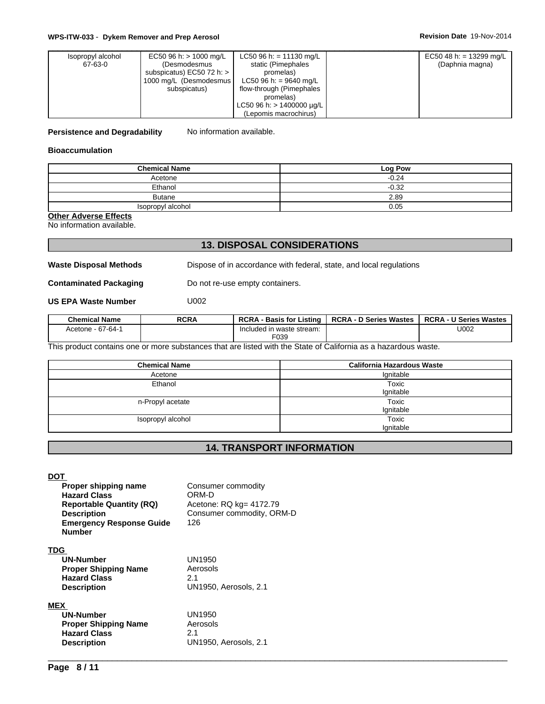| Isopropyl alcohol | EC50 96 h: $> 1000$ mg/L    | LC50 96 h: = 11130 mg/L        | EC50 48 h: = 13299 mg/L |  |
|-------------------|-----------------------------|--------------------------------|-------------------------|--|
| 67-63-0           | (Desmodesmus                | static (Pimephales             | (Daphnia magna)         |  |
|                   | subspicatus) EC50 72 h: $>$ | promelas)                      |                         |  |
|                   | 1000 mg/L (Desmodesmus      | LC50 96 h: = 9640 mg/L         |                         |  |
|                   | subspicatus)                | flow-through (Pimephales       |                         |  |
|                   |                             | promelas)                      |                         |  |
|                   |                             | LC50 96 h: $> 1400000 \mu q/L$ |                         |  |
|                   |                             | (Lepomis macrochirus)          |                         |  |

**Persistence and Degradability** No information available.

#### **Bioaccumulation**

| <b>Chemical Name</b> | Log Pow |
|----------------------|---------|
| Acetone              | $-0.24$ |
| Ethanol              | $-0.32$ |
| Butane               | 2.89    |
| Isopropyl alcohol    | 0.05    |

**Other Adverse Effects**

No information available.

# **13. DISPOSAL CONSIDERATIONS**

**Waste Disposal Methods** Dispose of in accordance with federal, state, and local regulations

**Contaminated Packaging** Do not re-use empty containers.

**US EPA Waste Number** U002

| <b>Chemical Name</b> | <b>RCRA</b> | <b>RCRA</b><br>Listino<br>- Basis for I | <b>RCRA - D Series Wastes</b> | $RCRA - 1$<br>· U Series Wastes |  |
|----------------------|-------------|-----------------------------------------|-------------------------------|---------------------------------|--|
| Acetone - 67-64-1    |             | Included in waste stream:<br>F039       |                               | U002                            |  |

This product contains one or more substances that are listed with the State of California as a hazardous waste.

| <b>Chemical Name</b> | <b>California Hazardous Waste</b> |
|----------------------|-----------------------------------|
| Acetone              | Ignitable                         |
| Ethanol              | Toxic                             |
|                      | Ignitable                         |
| n-Propyl acetate     | Toxic                             |
|                      | lgnitable                         |
| Isopropyl alcohol    | Toxic                             |
|                      | Ignitable                         |

# **14. TRANSPORT INFORMATION**

 $\overline{\phantom{a}}$  ,  $\overline{\phantom{a}}$  ,  $\overline{\phantom{a}}$  ,  $\overline{\phantom{a}}$  ,  $\overline{\phantom{a}}$  ,  $\overline{\phantom{a}}$  ,  $\overline{\phantom{a}}$  ,  $\overline{\phantom{a}}$  ,  $\overline{\phantom{a}}$  ,  $\overline{\phantom{a}}$  ,  $\overline{\phantom{a}}$  ,  $\overline{\phantom{a}}$  ,  $\overline{\phantom{a}}$  ,  $\overline{\phantom{a}}$  ,  $\overline{\phantom{a}}$  ,  $\overline{\phantom{a}}$ 

**DOT** 

| Proper shipping name<br><b>Hazard Class</b><br><b>Reportable Quantity (RQ)</b><br><b>Description</b><br><b>Emergency Response Guide</b><br><b>Number</b> | Consumer commodity<br>ORM-D<br>Acetone: RQ kg= 4172.79<br>Consumer commodity, ORM-D<br>126 |
|----------------------------------------------------------------------------------------------------------------------------------------------------------|--------------------------------------------------------------------------------------------|
| <b>TDG</b>                                                                                                                                               |                                                                                            |
| <b>UN-Number</b>                                                                                                                                         | <b>UN1950</b>                                                                              |
| <b>Proper Shipping Name</b>                                                                                                                              | Aerosols                                                                                   |
| <b>Hazard Class</b>                                                                                                                                      | 2.1                                                                                        |
| <b>Description</b>                                                                                                                                       | UN1950, Aerosols, 2.1                                                                      |
| <b>MEX</b>                                                                                                                                               |                                                                                            |
| <b>UN-Number</b>                                                                                                                                         | UN1950                                                                                     |
| <b>Proper Shipping Name</b>                                                                                                                              | Aerosols                                                                                   |
| <b>Hazard Class</b>                                                                                                                                      | 2.1                                                                                        |
| <b>Description</b>                                                                                                                                       | UN1950, Aerosols, 2.1                                                                      |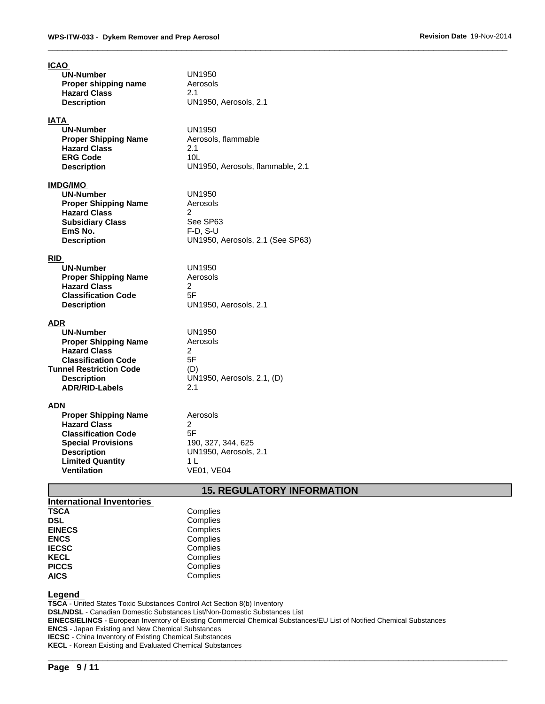| <b>ICAO</b>                                        |                                         |
|----------------------------------------------------|-----------------------------------------|
| <b>UN-Number</b>                                   | UN1950                                  |
| Proper shipping name                               | Aerosols                                |
| <b>Hazard Class</b>                                | 2.1<br>UN1950, Aerosols, 2.1            |
| <b>Description</b>                                 |                                         |
| IATA                                               |                                         |
| <b>UN-Number</b>                                   | UN1950                                  |
| <b>Proper Shipping Name</b>                        | Aerosols, flammable                     |
| <b>Hazard Class</b>                                | 2.1                                     |
| <b>ERG Code</b>                                    | 10 <sub>L</sub>                         |
| <b>Description</b>                                 | UN1950, Aerosols, flammable, 2.1        |
| <b>IMDG/IMO</b>                                    |                                         |
| <b>UN-Number</b>                                   | UN1950                                  |
| <b>Proper Shipping Name</b>                        | Aerosols                                |
| <b>Hazard Class</b>                                | $\overline{2}$                          |
| <b>Subsidiary Class</b><br>EmS No.                 | See SP63<br>$F-D, S-U$                  |
| <b>Description</b>                                 | UN1950, Aerosols, 2.1 (See SP63)        |
|                                                    |                                         |
| <b>RID</b>                                         |                                         |
| <b>UN-Number</b>                                   | <b>UN1950</b>                           |
| <b>Proper Shipping Name</b>                        | Aerosols                                |
| <b>Hazard Class</b><br><b>Classification Code</b>  | 2<br>5F                                 |
| <b>Description</b>                                 | UN1950, Aerosols, 2.1                   |
|                                                    |                                         |
| ADR                                                |                                         |
| <b>UN-Number</b>                                   | UN1950                                  |
| <b>Proper Shipping Name</b><br><b>Hazard Class</b> | Aerosols<br>2                           |
| <b>Classification Code</b>                         | 5F                                      |
| <b>Tunnel Restriction Code</b>                     | (D)                                     |
| <b>Description</b>                                 | UN1950, Aerosols, 2.1, (D)              |
| <b>ADR/RID-Labels</b>                              | 2.1                                     |
| ADN                                                |                                         |
| <b>Proper Shipping Name</b>                        | Aerosols                                |
| <b>Hazard Class</b>                                | $\mathcal{P}$                           |
| <b>Classification Code</b>                         | 5F                                      |
| <b>Special Provisions</b>                          | 190, 327, 344, 625                      |
| <b>Description</b>                                 | UN1950, Aerosols, 2.1                   |
| <b>Limited Quantity</b><br><b>Ventilation</b>      | 1 L<br><b>VE01, VE04</b>                |
|                                                    |                                         |
|                                                    | <b><i>AE DECULATODY INFODMATION</i></b> |

## **15. REGULATORY INFORMATION**

 $\overline{\phantom{a}}$  ,  $\overline{\phantom{a}}$  ,  $\overline{\phantom{a}}$  ,  $\overline{\phantom{a}}$  ,  $\overline{\phantom{a}}$  ,  $\overline{\phantom{a}}$  ,  $\overline{\phantom{a}}$  ,  $\overline{\phantom{a}}$  ,  $\overline{\phantom{a}}$  ,  $\overline{\phantom{a}}$  ,  $\overline{\phantom{a}}$  ,  $\overline{\phantom{a}}$  ,  $\overline{\phantom{a}}$  ,  $\overline{\phantom{a}}$  ,  $\overline{\phantom{a}}$  ,  $\overline{\phantom{a}}$ 

| International Inventories |          |
|---------------------------|----------|
| <b>TSCA</b>               | Complies |
| <b>DSL</b>                | Complies |
| <b>EINECS</b>             | Complies |
| <b>ENCS</b>               | Complies |
| <b>IECSC</b>              | Complies |
| <b>KECL</b>               | Complies |
| <b>PICCS</b>              | Complies |
| <b>AICS</b>               | Complies |

#### **Legend**

**TSCA** - United States Toxic Substances Control Act Section 8(b) Inventory **DSL/NDSL** - Canadian Domestic Substances List/Non-Domestic Substances List **EINECS/ELINCS** - European Inventory of Existing Commercial Chemical Substances/EU List of Notified Chemical Substances **ENCS** - Japan Existing and New Chemical Substances **IECSC** - China Inventory of Existing Chemical Substances **KECL** - Korean Existing and Evaluated Chemical Substances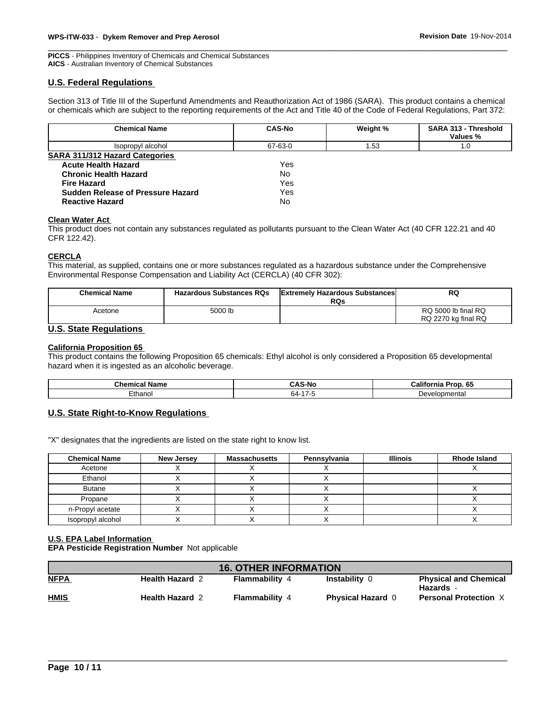**PICCS** - Philippines Inventory of Chemicals and Chemical Substances **AICS** - Australian Inventory of Chemical Substances

## **U.S. Federal Regulations**

Section 313 of Title III of the Superfund Amendments and Reauthorization Act of 1986 (SARA). This product contains a chemical or chemicals which are subject to the reporting requirements of the Act and Title 40 of the Code of Federal Regulations, Part 372:

| <b>Chemical Name</b>                  | <b>CAS-No</b> | Weight % | <b>SARA 313 - Threshold</b><br>Values % |
|---------------------------------------|---------------|----------|-----------------------------------------|
| Isopropyl alcohol                     | 67-63-0       | l.53     | 1.0                                     |
| <b>SARA 311/312 Hazard Categories</b> |               |          |                                         |
| <b>Acute Health Hazard</b>            | Yes           |          |                                         |
| <b>Chronic Health Hazard</b>          | No            |          |                                         |
| <b>Fire Hazard</b>                    | Yes           |          |                                         |
| Sudden Release of Pressure Hazard     | Yes           |          |                                         |
| <b>Reactive Hazard</b>                | No            |          |                                         |

#### **Clean Water Act**

This product does not contain any substances regulated as pollutants pursuant to the Clean Water Act (40 CFR 122.21 and 40 CFR 122.42).

#### **CERCLA**

This material, as supplied, contains one or more substances regulated as a hazardous substance under the Comprehensive Environmental Response Compensation and Liability Act (CERCLA) (40 CFR 302):

| <b>Chemical Name</b> | <b>Hazardous Substances RQs</b> | <b>Extremely Hazardous Substances</b><br><b>RQs</b> | <b>RQ</b>                                  |
|----------------------|---------------------------------|-----------------------------------------------------|--------------------------------------------|
| Acetone              | 5000 lb                         |                                                     | RQ 5000 lb final RQ<br>RQ 2270 kg final RQ |

## **U.S. State Regulations**

## **California Proposition 65**

This product contains the following Proposition 65 chemicals: Ethyl alcohol is only considered a Proposition 65 developmental hazard when it is ingested as an alcoholic beverage.

| Chemical<br>' Name | -NI.<br>UMJ-INU | <br>Califor<br>----<br>'ron.<br>-00<br>лю |
|--------------------|-----------------|-------------------------------------------|
| Ethanol            | 64-<br>$ -$     | ` }evelopmental<br>ັບ ບ                   |

## **U.S. State Right-to-Know Regulations**

"X" designates that the ingredients are listed on the state right to know list.

| <b>Chemical Name</b> | New Jersey | <b>Massachusetts</b> | Pennsylvania | <b>Illinois</b> | <b>Rhode Island</b> |
|----------------------|------------|----------------------|--------------|-----------------|---------------------|
| Acetone              |            |                      |              |                 |                     |
| Ethanol              |            |                      |              |                 |                     |
| <b>Butane</b>        |            |                      |              |                 |                     |
| Propane              |            |                      |              |                 |                     |
| n-Propyl acetate     |            |                      |              |                 |                     |
| Isopropyl alcohol    |            |                      |              |                 |                     |

#### **U.S. EPA Label Information**

**EPA Pesticide Registration Number** Not applicable

| <b>16. OTHER INFORMATION</b> |                        |                       |                          |                                           |
|------------------------------|------------------------|-----------------------|--------------------------|-------------------------------------------|
| <b>NFPA</b>                  | <b>Health Hazard 2</b> | <b>Flammability 4</b> | Instability 0            | <b>Physical and Chemical</b><br>Hazards - |
| <b>HMIS</b>                  | <b>Health Hazard 2</b> | Flammability          | <b>Physical Hazard 0</b> | <b>Personal Protection X</b>              |